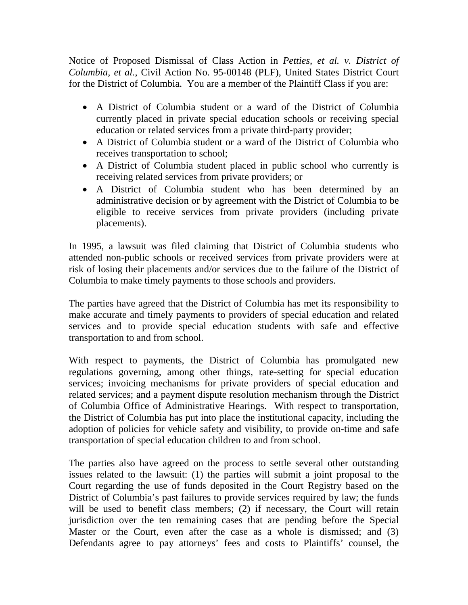Notice of Proposed Dismissal of Class Action in *Petties, et al. v. District of Columbia, et al.*, Civil Action No. 95-00148 (PLF), United States District Court for the District of Columbia. You are a member of the Plaintiff Class if you are:

- A District of Columbia student or a ward of the District of Columbia currently placed in private special education schools or receiving special education or related services from a private third-party provider;
- A District of Columbia student or a ward of the District of Columbia who receives transportation to school;
- A District of Columbia student placed in public school who currently is receiving related services from private providers; or
- A District of Columbia student who has been determined by an administrative decision or by agreement with the District of Columbia to be eligible to receive services from private providers (including private placements).

In 1995, a lawsuit was filed claiming that District of Columbia students who attended non-public schools or received services from private providers were at risk of losing their placements and/or services due to the failure of the District of Columbia to make timely payments to those schools and providers.

The parties have agreed that the District of Columbia has met its responsibility to make accurate and timely payments to providers of special education and related services and to provide special education students with safe and effective transportation to and from school.

With respect to payments, the District of Columbia has promulgated new regulations governing, among other things, rate-setting for special education services; invoicing mechanisms for private providers of special education and related services; and a payment dispute resolution mechanism through the District of Columbia Office of Administrative Hearings. With respect to transportation, the District of Columbia has put into place the institutional capacity, including the adoption of policies for vehicle safety and visibility, to provide on-time and safe transportation of special education children to and from school.

The parties also have agreed on the process to settle several other outstanding issues related to the lawsuit: (1) the parties will submit a joint proposal to the Court regarding the use of funds deposited in the Court Registry based on the District of Columbia's past failures to provide services required by law; the funds will be used to benefit class members; (2) if necessary, the Court will retain jurisdiction over the ten remaining cases that are pending before the Special Master or the Court, even after the case as a whole is dismissed; and (3) Defendants agree to pay attorneys' fees and costs to Plaintiffs' counsel, the